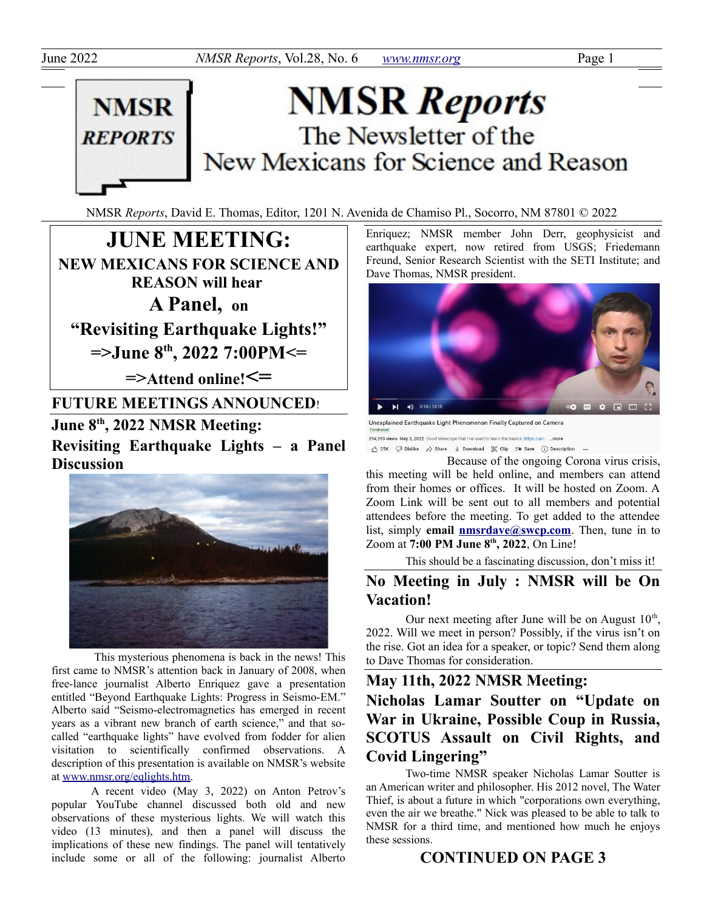

# **NMSR Reports** The Newsletter of the New Mexicans for Science and Reason

NMSR *Reports*, David E. Thomas, Editor, 1201 N. Avenida de Chamiso Pl., Socorro, NM 87801 © 2022

**JUNE MEETING: NEW MEXICANS FOR SCIENCE AND REASON will hear A Panel, on "Revisiting Earthquake Lights!" =>June 8th, 2022 7:00PM<= =>Attend online!<= FUTURE MEETINGS ANNOUNCED**! **June 8th, 2022 NMSR Meeting:** 

**Revisiting Earthquake Lights – a Panel Discussion**



 This mysterious phenomena is back in the news! This first came to NMSR's attention back in January of 2008, when free-lance journalist Alberto Enriquez gave a presentation entitled "Beyond Earthquake Lights: Progress in Seismo-EM." Alberto said "Seismo-electromagnetics has emerged in recent years as a vibrant new branch of earth science," and that socalled "earthquake lights" have evolved from fodder for alien visitation to scientifically confirmed observations. A description of this presentation is available on NMSR's website at [www.nmsr.org/eqlights.htm.](http://www.nmsr.org/eqlights.htm)

A recent video (May 3, 2022) on Anton Petrov's popular YouTube channel discussed both old and new observations of these mysterious lights. We will watch this video (13 minutes), and then a panel will discuss the implications of these new findings. The panel will tentatively include some or all of the following: journalist Alberto Enriquez; NMSR member John Derr, geophysicist and earthquake expert, now retired from USGS; Friedemann Freund, Senior Research Scientist with the SETI Institute; and Dave Thomas, NMSR president.



Unexplained Earthquake Light Phenomenon Finally Captured on Camera 394,393 views May 3, 2022 Good telescope that I've used to learn the basics: https://amz ...more  $\sqrt{\phantom{a}} 25\mathsf{K} \quad \sqrt{\phantom{a}} \quad \text{Dislike} \quad \not\Rightarrow \quad \text{Share} \quad \underline{\Downarrow} \quad \text{Download} \quad \sqrt[\mathbb{R}]{\phantom{a}} \quad \text{Clip} \quad \overline{=}+ \quad \text{Save} \quad \text{ }\begin{array}{c} \text{ }\begin{smallmatrix} \text{ }\begin{smallmatrix} \text{ }\begin{smallmatrix} \text{ }\begin{smallmatrix} \text{ }\end{smallmatrix} \end{smallmatrix} \end{array} \end{array} \end{array} \end{array} \quad \text{Substituting} \quad \text{and} \quad \text{Supersically} \quad \text{Supersely$ 

Because of the ongoing Corona virus crisis, this meeting will be held online, and members can attend from their homes or offices. It will be hosted on Zoom. A Zoom Link will be sent out to all members and potential attendees before the meeting. To get added to the attendee list, simply **email [nmsrdave@swcp.com](mailto:nmsrdave@swcp.com)**. Then, tune in to Zoom at **7:00 PM June 8th, 2022**, On Line!

This should be a fascinating discussion, don't miss it!

# **No Meeting in July : NMSR will be On Vacation!**

Our next meeting after June will be on August  $10^{th}$ , 2022. Will we meet in person? Possibly, if the virus isn't on the rise. Got an idea for a speaker, or topic? Send them along to Dave Thomas for consideration.

**May 11th, 2022 NMSR Meeting:** 

# **Nicholas Lamar Soutter on "Update on War in Ukraine, Possible Coup in Russia, SCOTUS Assault on Civil Rights, and Covid Lingering"**

Two-time NMSR speaker Nicholas Lamar Soutter is an American writer and philosopher. His 2012 novel, The Water Thief, is about a future in which "corporations own everything, even the air we breathe." Nick was pleased to be able to talk to NMSR for a third time, and mentioned how much he enjoys these sessions.

# **CONTINUED ON PAGE 3**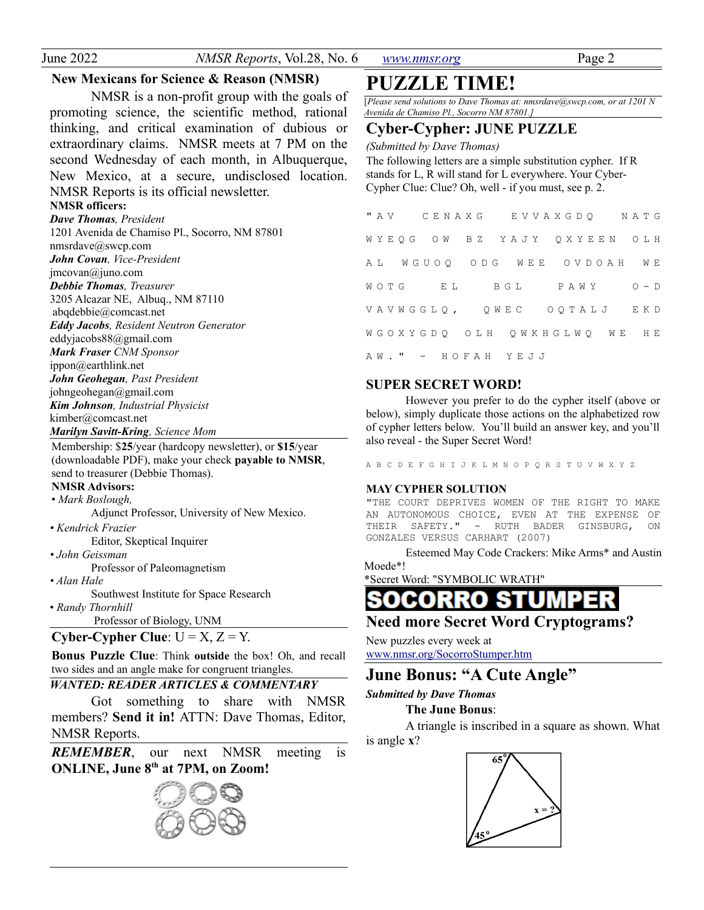| June 2022 |  |
|-----------|--|
|           |  |

*NMSR Reports*, Vol.28, No. 6 *[www.nmsr.org](http://www.nmsr.org/)* Page 2

#### **New Mexicans for Science & Reason (NMSR)**

NMSR is a non-profit group with the goals of promoting science, the scientific method, rational thinking, and critical examination of dubious or extraordinary claims. NMSR meets at 7 PM on the second Wednesday of each month, in Albuquerque, New Mexico, at a secure, undisclosed location. NMSR Reports is its official newsletter.

## **NMSR officers:**

*Dave Thomas, President* 1201 Avenida de Chamiso Pl., Socorro, NM 87801 nmsrdave@swcp.com *John Covan, Vice-President* jmcovan@juno.com *Debbie Thomas, Treasurer* 3205 Alcazar NE, Albuq., NM 87110 abqdebbie@comcast.net *Eddy Jacobs, Resident Neutron Generator* eddyjacobs88@gmail.com *Mark Fraser CNM Sponsor* ippon@earthlink.net *John Geohegan, Past President* johngeohegan@gmail.com *Kim Johnson, Industrial Physicist* kimber@comcast.net *Marilyn Savitt-Kring, Science Mom*

Membership: \$**25**/year (hardcopy newsletter), or **\$15**/year (downloadable PDF), make your check **payable to NMSR**, send to treasurer (Debbie Thomas).

### **NMSR Advisors:**

• *Mark Boslough,* 

Adjunct Professor, University of New Mexico.

- *Kendrick Frazier* Editor, Skeptical Inquirer
- *John Geissman*

Professor of Paleomagnetism

*• Alan Hale*

Southwest Institute for Space Research • *Randy Thornhill*

Professor of Biology, UNM

### **Cyber-Cypher Clue**:  $U = X$ ,  $Z = Y$ .

**Bonus Puzzle Clue**: Think **outside** the box! Oh, and recall two sides and an angle make for congruent triangles.

#### *WANTED: READER ARTICLES & COMMENTARY*

Got something to share with NMSR members? **Send it in!** ATTN: Dave Thomas, Editor, NMSR Reports.

*REMEMBER*, our next NMSR meeting is **ONLINE, June 8th at 7PM, on Zoom!**

**PUZZLE TIME!**

[*Please send solutions to Dave Thomas at: nmsrdave@swcp.com, or at 1201 N Avenida de Chamiso Pl., Socorro NM 87801.]*

### **Cyber-Cypher: JUNE PUZZLE**

*(Submitted by Dave Thomas)*

The following letters are a simple substitution cypher. If R stands for L, R will stand for L everywhere. Your Cyber-Cypher Clue: Clue? Oh, well - if you must, see p. 2.

|  | "AV CENAXG EVVAXGDQ NATG    |  |  |  |              |  |  |  |  |  |  |  |  |
|--|-----------------------------|--|--|--|--------------|--|--|--|--|--|--|--|--|
|  | WYEQG OW BZ YAJY QXYEEN OLH |  |  |  |              |  |  |  |  |  |  |  |  |
|  | AL WGUOQ ODG WEE OVDOAH WE  |  |  |  |              |  |  |  |  |  |  |  |  |
|  | WOTG EL                     |  |  |  | BGL PAWY O-D |  |  |  |  |  |  |  |  |
|  | VAVWGGLQ, QWEC OQTALJ EKD   |  |  |  |              |  |  |  |  |  |  |  |  |
|  | WGOXYGDQ OLH QWKHGLWQ WE HE |  |  |  |              |  |  |  |  |  |  |  |  |
|  | AW." - HOFAH YEJJ           |  |  |  |              |  |  |  |  |  |  |  |  |

#### **SUPER SECRET WORD!**

However you prefer to do the cypher itself (above or below), simply duplicate those actions on the alphabetized row of cypher letters below. You'll build an answer key, and you'll also reveal - the Super Secret Word!

```
A B C D E F G H I J K L M N O P Q R S T U V W X Y Z
```
#### **MAY CYPHER SOLUTION**

"THE COURT DEPRIVES WOMEN OF THE RIGHT TO MAKE AN AUTONOMOUS CHOICE, EVEN AT THE EXPENSE OF THEIR SAFETY." - RUTH BADER GINSBURG, ON GONZALES VERSUS CARHART (2007)

Esteemed May Code Crackers: Mike Arms\* and Austin Moede\*!

\*Secret Word: "SYMBOLIC WRATH"

SOCORRO STU

## **Need more Secret Word Cryptograms?**

New puzzles every week at www.nmsr.org/SocorroStumper.htm

# **June Bonus: "A Cute Angle"**

#### *Submitted by Dave Thomas*

#### **The June Bonus**:

A triangle is inscribed in a square as shown. What is angle **x**?

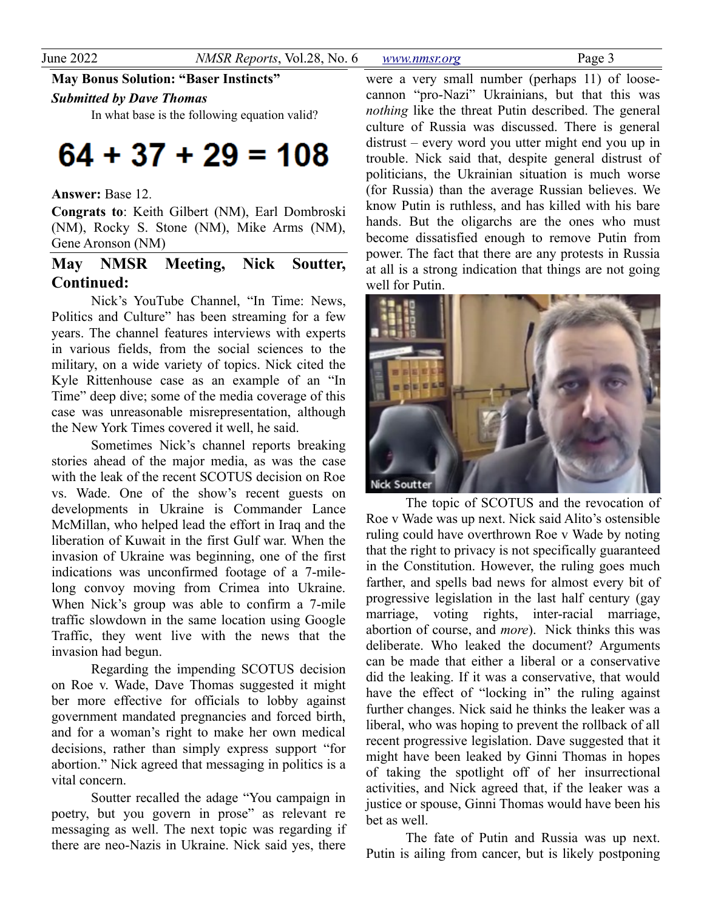**May Bonus Solution: "Baser Instincts"**

#### *Submitted by Dave Thomas*

In what base is the following equation valid?

# $64 + 37 + 29 = 108$

#### **Answer:** Base 12.

**Congrats to**: Keith Gilbert (NM), Earl Dombroski (NM), Rocky S. Stone (NM), Mike Arms (NM), Gene Aronson (NM)

# **May NMSR Meeting, Nick Soutter, Continued:**

Nick's YouTube Channel, "In Time: News, Politics and Culture" has been streaming for a few years. The channel features interviews with experts in various fields, from the social sciences to the military, on a wide variety of topics. Nick cited the Kyle Rittenhouse case as an example of an "In Time" deep dive; some of the media coverage of this case was unreasonable misrepresentation, although the New York Times covered it well, he said.

Sometimes Nick's channel reports breaking stories ahead of the major media, as was the case with the leak of the recent SCOTUS decision on Roe vs. Wade. One of the show's recent guests on developments in Ukraine is Commander Lance McMillan, who helped lead the effort in Iraq and the liberation of Kuwait in the first Gulf war. When the invasion of Ukraine was beginning, one of the first indications was unconfirmed footage of a 7-milelong convoy moving from Crimea into Ukraine. When Nick's group was able to confirm a 7-mile traffic slowdown in the same location using Google Traffic, they went live with the news that the invasion had begun.

Regarding the impending SCOTUS decision on Roe v. Wade, Dave Thomas suggested it might ber more effective for officials to lobby against government mandated pregnancies and forced birth, and for a woman's right to make her own medical decisions, rather than simply express support "for abortion." Nick agreed that messaging in politics is a vital concern.

Soutter recalled the adage "You campaign in poetry, but you govern in prose" as relevant re messaging as well. The next topic was regarding if there are neo-Nazis in Ukraine. Nick said yes, there

were a very small number (perhaps 11) of loosecannon "pro-Nazi" Ukrainians, but that this was *nothing* like the threat Putin described. The general culture of Russia was discussed. There is general distrust – every word you utter might end you up in trouble. Nick said that, despite general distrust of politicians, the Ukrainian situation is much worse (for Russia) than the average Russian believes. We know Putin is ruthless, and has killed with his bare hands. But the oligarchs are the ones who must become dissatisfied enough to remove Putin from power. The fact that there are any protests in Russia at all is a strong indication that things are not going well for Putin.



The topic of SCOTUS and the revocation of Roe v Wade was up next. Nick said Alito's ostensible ruling could have overthrown Roe v Wade by noting that the right to privacy is not specifically guaranteed in the Constitution. However, the ruling goes much farther, and spells bad news for almost every bit of progressive legislation in the last half century (gay marriage, voting rights, inter-racial marriage, abortion of course, and *more*). Nick thinks this was deliberate. Who leaked the document? Arguments can be made that either a liberal or a conservative did the leaking. If it was a conservative, that would have the effect of "locking in" the ruling against further changes. Nick said he thinks the leaker was a liberal, who was hoping to prevent the rollback of all recent progressive legislation. Dave suggested that it might have been leaked by Ginni Thomas in hopes of taking the spotlight off of her insurrectional activities, and Nick agreed that, if the leaker was a justice or spouse, Ginni Thomas would have been his bet as well.

The fate of Putin and Russia was up next. Putin is ailing from cancer, but is likely postponing